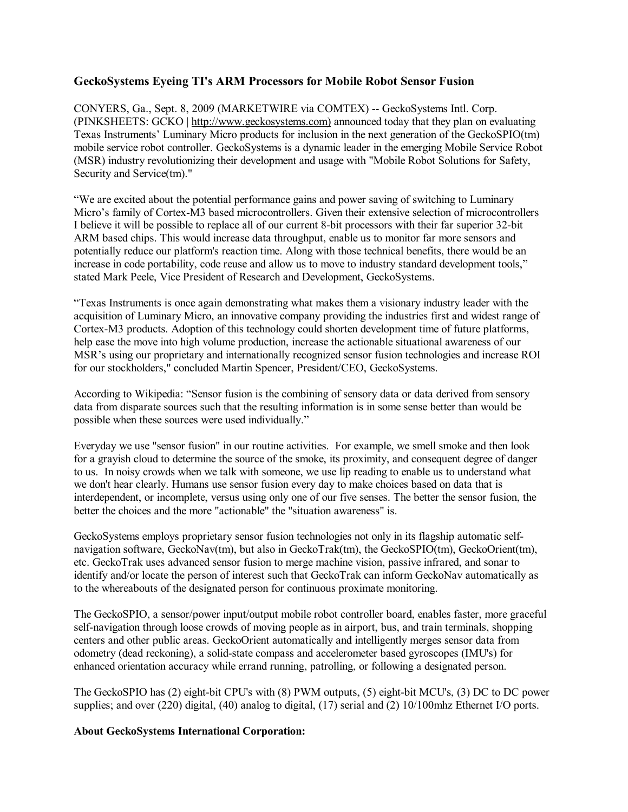# **GeckoSystems Eyeing TI's ARM Processors for Mobile Robot Sensor Fusion**

CONYERS, Ga., Sept. 8, 2009 (MARKETWIRE via COMTEX) -- GeckoSystems Intl. Corp. (PINKSHEETS: GCKO | [http://www.geckosystems.com\)](http://www.geckosystems.com)) announced today that they plan on evaluating Texas Instruments' Luminary Micro products for inclusion in the next generation of the GeckoSPIO(tm) mobile service robot controller. GeckoSystems is a dynamic leader in the emerging Mobile Service Robot (MSR) industry revolutionizing their development and usage with "Mobile Robot Solutions for Safety, Security and Service(tm)."

"We are excited about the potential performance gains and power saving of switching to Luminary Micro's family of Cortex-M3 based microcontrollers. Given their extensive selection of microcontrollers I believe it will be possible to replace all of our current 8-bit processors with their far superior 32-bit ARM based chips. This would increase data throughput, enable us to monitor far more sensors and potentially reduce our platform's reaction time. Along with those technical benefits, there would be an increase in code portability, code reuse and allow us to move to industry standard development tools," stated Mark Peele, Vice President of Research and Development, GeckoSystems.

"Texas Instruments is once again demonstrating what makes them a visionary industry leader with the acquisition of Luminary Micro, an innovative company providing the industries first and widest range of Cortex-M3 products. Adoption of this technology could shorten development time of future platforms, help ease the move into high volume production, increase the actionable situational awareness of our MSR's using our proprietary and internationally recognized sensor fusion technologies and increase ROI for our stockholders," concluded Martin Spencer, President/CEO, GeckoSystems.

According to Wikipedia: "Sensor fusion is the combining of sensory data or data derived from sensory data from disparate sources such that the resulting information is in some sense better than would be possible when these sources were used individually."

Everyday we use "sensor fusion" in our routine activities. For example, we smell smoke and then look for a grayish cloud to determine the source of the smoke, its proximity, and consequent degree of danger to us. In noisy crowds when we talk with someone, we use lip reading to enable us to understand what we don't hear clearly. Humans use sensor fusion every day to make choices based on data that is interdependent, or incomplete, versus using only one of our five senses. The better the sensor fusion, the better the choices and the more "actionable" the "situation awareness" is.

GeckoSystems employs proprietary sensor fusion technologies not only in its flagship automatic selfnavigation software, GeckoNav(tm), but also in GeckoTrak(tm), the GeckoSPIO(tm), GeckoOrient(tm). etc. GeckoTrak uses advanced sensor fusion to merge machine vision, passive infrared, and sonar to identify and/or locate the person of interest such that GeckoTrak can inform GeckoNav automatically as to the whereabouts of the designated person for continuous proximate monitoring.

The GeckoSPIO, a sensor/power input/output mobile robot controller board, enables faster, more graceful self-navigation through loose crowds of moving people as in airport, bus, and train terminals, shopping centers and other public areas. GeckoOrient automatically and intelligently merges sensor data from odometry (dead reckoning), a solid-state compass and accelerometer based gyroscopes (IMU's) for enhanced orientation accuracy while errand running, patrolling, or following a designated person.

The GeckoSPIO has (2) eight-bit CPU's with (8) PWM outputs, (5) eight-bit MCU's, (3) DC to DC power supplies; and over (220) digital, (40) analog to digital, (17) serial and (2) 10/100mhz Ethernet I/O ports.

## **About GeckoSystems International Corporation:**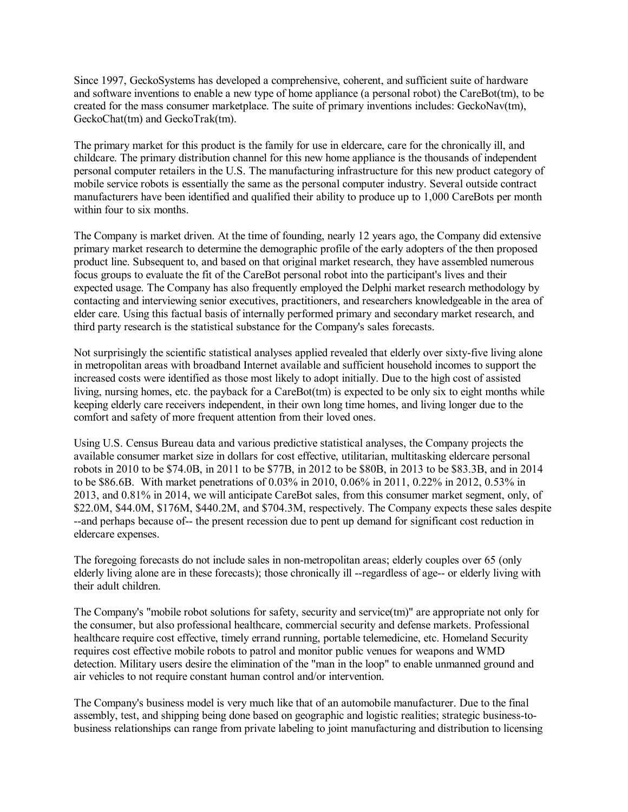Since 1997, GeckoSystems has developed a comprehensive, coherent, and sufficient suite of hardware and software inventions to enable a new type of home appliance (a personal robot) the CareBot(tm), to be created for the mass consumer marketplace. The suite of primary inventions includes: GeckoNav(tm), GeckoChat(tm) and GeckoTrak(tm).

The primary market for this product is the family for use in eldercare, care for the chronically ill, and childcare. The primary distribution channel for this new home appliance is the thousands of independent personal computer retailers in the U.S. The manufacturing infrastructure for this new product category of mobile service robots is essentially the same as the personal computer industry. Several outside contract manufacturers have been identified and qualified their ability to produce up to 1,000 CareBots per month within four to six months.

The Company is market driven. At the time of founding, nearly 12 years ago, the Company did extensive primary market research to determine the demographic profile of the early adopters of the then proposed product line. Subsequent to, and based on that original market research, they have assembled numerous focus groups to evaluate the fit of the CareBot personal robot into the participant's lives and their expected usage. The Company has also frequently employed the Delphi market research methodology by contacting and interviewing senior executives, practitioners, and researchers knowledgeable in the area of elder care. Using this factual basis of internally performed primary and secondary market research, and third party research is the statistical substance for the Company's sales forecasts.

Not surprisingly the scientific statistical analyses applied revealed that elderly over sixty-five living alone in metropolitan areas with broadband Internet available and sufficient household incomes to support the increased costs were identified as those most likely to adopt initially. Due to the high cost of assisted living, nursing homes, etc. the payback for a CareBot(tm) is expected to be only six to eight months while keeping elderly care receivers independent, in their own long time homes, and living longer due to the comfort and safety of more frequent attention from their loved ones.

Using U.S. Census Bureau data and various predictive statistical analyses, the Company projects the available consumer market size in dollars for cost effective, utilitarian, multitasking eldercare personal robots in 2010 to be \$74.0B, in 2011 to be \$77B, in 2012 to be \$80B, in 2013 to be \$83.3B, and in 2014 to be \$86.6B. With market penetrations of 0.03% in 2010, 0.06% in 2011, 0.22% in 2012, 0.53% in 2013, and 0.81% in 2014, we will anticipate CareBot sales, from this consumer market segment, only, of \$22.0M, \$44.0M, \$176M, \$440.2M, and \$704.3M, respectively. The Company expects these sales despite --and perhaps because of-- the present recession due to pent up demand for significant cost reduction in eldercare expenses.

The foregoing forecasts do not include sales in non-metropolitan areas; elderly couples over 65 (only elderly living alone are in these forecasts); those chronically ill --regardless of age-- or elderly living with their adult children.

The Company's "mobile robot solutions for safety, security and service(tm)" are appropriate not only for the consumer, but also professional healthcare, commercial security and defense markets. Professional healthcare require cost effective, timely errand running, portable telemedicine, etc. Homeland Security requires cost effective mobile robots to patrol and monitor public venues for weapons and WMD detection. Military users desire the elimination of the "man in the loop" to enable unmanned ground and air vehicles to not require constant human control and/or intervention.

The Company's business model is very much like that of an automobile manufacturer. Due to the final assembly, test, and shipping being done based on geographic and logistic realities; strategic business-tobusiness relationships can range from private labeling to joint manufacturing and distribution to licensing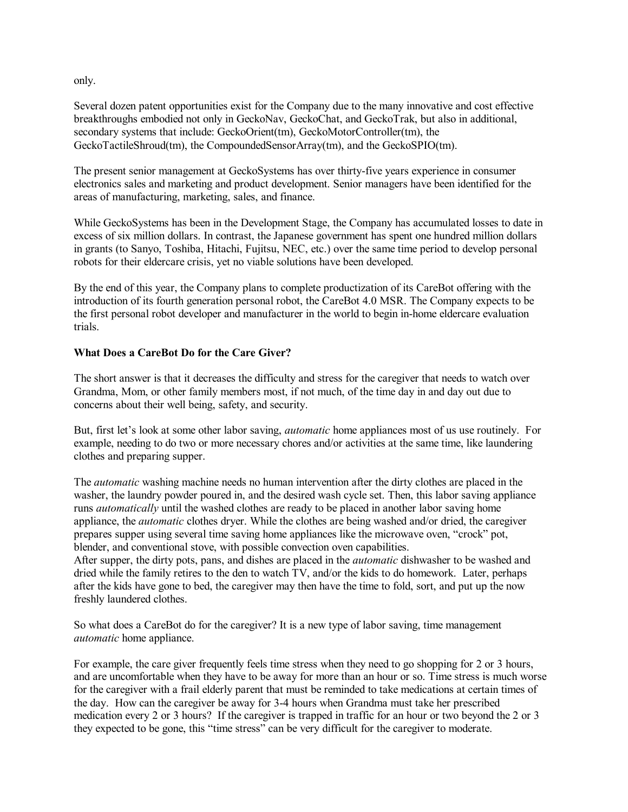only.

Several dozen patent opportunities exist for the Company due to the many innovative and cost effective breakthroughs embodied not only in GeckoNav, GeckoChat, and GeckoTrak, but also in additional, secondary systems that include: GeckoOrient(tm), GeckoMotorController(tm), the GeckoTactileShroud(tm), the CompoundedSensorArray(tm), and the GeckoSPIO(tm).

The present senior management at GeckoSystems has over thirty-five years experience in consumer electronics sales and marketing and product development. Senior managers have been identified for the areas of manufacturing, marketing, sales, and finance.

While GeckoSystems has been in the Development Stage, the Company has accumulated losses to date in excess of six million dollars. In contrast, the Japanese government has spent one hundred million dollars in grants (to Sanyo, Toshiba, Hitachi, Fujitsu, NEC, etc.) over the same time period to develop personal robots for their eldercare crisis, yet no viable solutions have been developed.

By the end of this year, the Company plans to complete productization of its CareBot offering with the introduction of its fourth generation personal robot, the CareBot 4.0 MSR. The Company expects to be the first personal robot developer and manufacturer in the world to begin in-home eldercare evaluation trials.

# **What Does a CareBot Do for the Care Giver?**

The short answer is that it decreases the difficulty and stress for the caregiver that needs to watch over Grandma, Mom, or other family members most, if not much, of the time day in and day out due to concerns about their well being, safety, and security.

But, first let's look at some other labor saving, *automatic* home appliances most of us use routinely. For example, needing to do two or more necessary chores and/or activities at the same time, like laundering clothes and preparing supper.

The *automatic* washing machine needs no human intervention after the dirty clothes are placed in the washer, the laundry powder poured in, and the desired wash cycle set. Then, this labor saving appliance runs *automatically* until the washed clothes are ready to be placed in another labor saving home appliance, the *automatic* clothes dryer. While the clothes are being washed and/or dried, the caregiver prepares supper using several time saving home appliances like the microwave oven, "crock" pot, blender, and conventional stove, with possible convection oven capabilities.

After supper, the dirty pots, pans, and dishes are placed in the *automatic* dishwasher to be washed and dried while the family retires to the den to watch TV, and/or the kids to do homework. Later, perhaps after the kids have gone to bed, the caregiver may then have the time to fold, sort, and put up the now freshly laundered clothes.

So what does a CareBot do for the caregiver? It is a new type of labor saving, time management *automatic* home appliance.

For example, the care giver frequently feels time stress when they need to go shopping for 2 or 3 hours, and are uncomfortable when they have to be away for more than an hour or so. Time stress is much worse for the caregiver with a frail elderly parent that must be reminded to take medications at certain times of the day. How can the caregiver be away for 3-4 hours when Grandma must take her prescribed medication every 2 or 3 hours? If the caregiver is trapped in traffic for an hour or two beyond the 2 or 3 they expected to be gone, this "time stress" can be very difficult for the caregiver to moderate.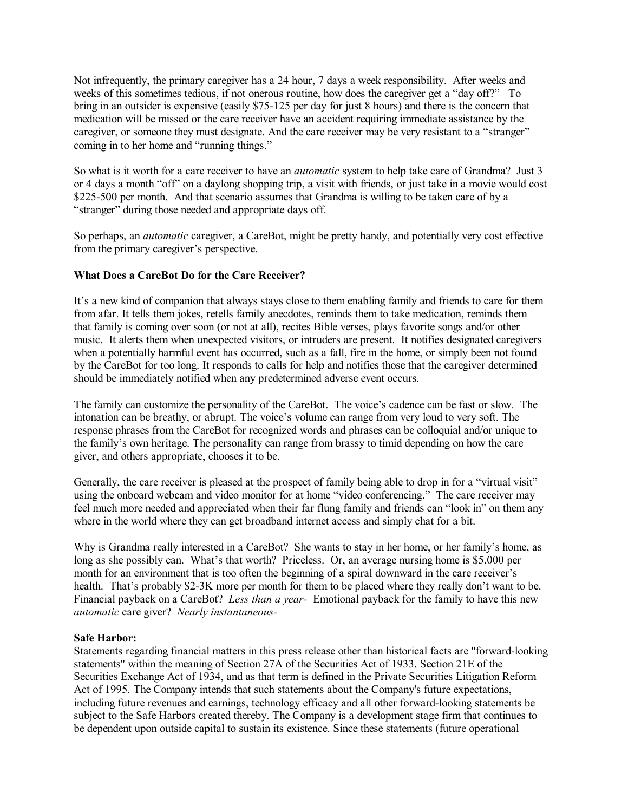Not infrequently, the primary caregiver has a 24 hour, 7 days a week responsibility. After weeks and weeks of this sometimes tedious, if not onerous routine, how does the caregiver get a "day off?" To bring in an outsider is expensive (easily \$75-125 per day for just 8 hours) and there is the concern that medication will be missed or the care receiver have an accident requiring immediate assistance by the caregiver, or someone they must designate. And the care receiver may be very resistant to a "stranger" coming in to her home and "running things."

So what is it worth for a care receiver to have an *automatic* system to help take care of Grandma? Just 3 or 4 days a month "off" on a daylong shopping trip, a visit with friends, or just take in a movie would cost \$225-500 per month. And that scenario assumes that Grandma is willing to be taken care of by a "stranger" during those needed and appropriate days off.

So perhaps, an *automatic* caregiver, a CareBot, might be pretty handy, and potentially very cost effective from the primary caregiver's perspective.

## **What Does a CareBot Do for the Care Receiver?**

It's a new kind of companion that always stays close to them enabling family and friends to care for them from afar. It tells them jokes, retells family anecdotes, reminds them to take medication, reminds them that family is coming over soon (or not at all), recites Bible verses, plays favorite songs and/or other music. It alerts them when unexpected visitors, or intruders are present. It notifies designated caregivers when a potentially harmful event has occurred, such as a fall, fire in the home, or simply been not found by the CareBot for too long. It responds to calls for help and notifies those that the caregiver determined should be immediately notified when any predetermined adverse event occurs.

The family can customize the personality of the CareBot. The voice's cadence can be fast or slow. The intonation can be breathy, or abrupt. The voice's volume can range from very loud to very soft. The response phrases from the CareBot for recognized words and phrases can be colloquial and/or unique to the family's own heritage. The personality can range from brassy to timid depending on how the care giver, and others appropriate, chooses it to be.

Generally, the care receiver is pleased at the prospect of family being able to drop in for a "virtual visit" using the onboard webcam and video monitor for at home "video conferencing." The care receiver may feel much more needed and appreciated when their far flung family and friends can "look in" on them any where in the world where they can get broadband internet access and simply chat for a bit.

Why is Grandma really interested in a CareBot? She wants to stay in her home, or her family's home, as long as she possibly can. What's that worth? Priceless. Or, an average nursing home is \$5,000 per month for an environment that is too often the beginning of a spiral downward in the care receiver's health. That's probably \$2-3K more per month for them to be placed where they really don't want to be. Financial payback on a CareBot? *Less than a year-* Emotional payback for the family to have this new *automatic* care giver? *Nearly instantaneous-*

#### **Safe Harbor:**

Statements regarding financial matters in this press release other than historical facts are "forward-looking statements" within the meaning of Section 27A of the Securities Act of 1933, Section 21E of the Securities Exchange Act of 1934, and as that term is defined in the Private Securities Litigation Reform Act of 1995. The Company intends that such statements about the Company's future expectations, including future revenues and earnings, technology efficacy and all other forward-looking statements be subject to the Safe Harbors created thereby. The Company is a development stage firm that continues to be dependent upon outside capital to sustain its existence. Since these statements (future operational